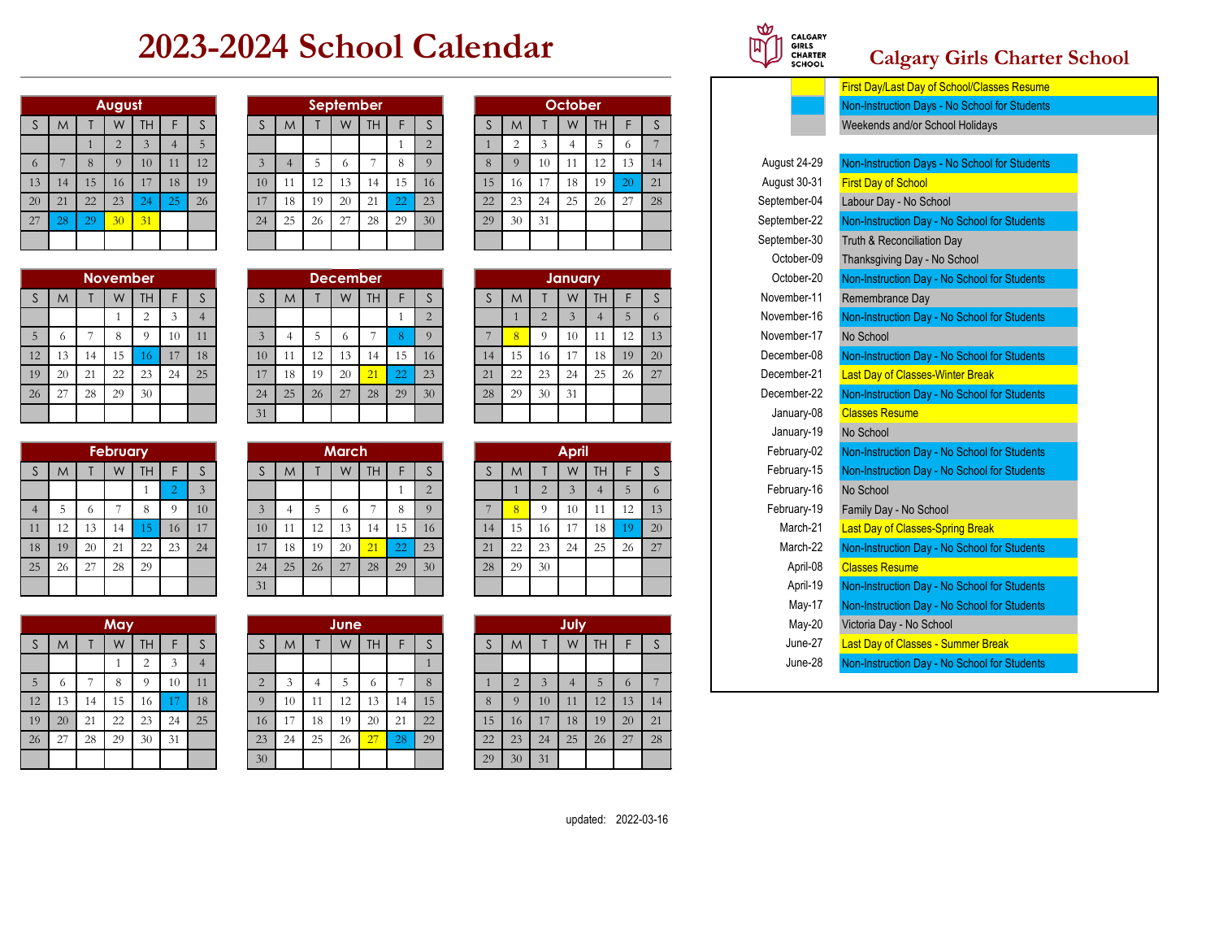## **2023-2024 School Calendar**

|    |    |    | August         |    |    |    |
|----|----|----|----------------|----|----|----|
| S  | M  |    | W              | TH | F  | S  |
|    |    |    | $\overline{2}$ | 3  | 4  | 5  |
| 6  | 7  | 8  | 9              | 10 | 11 | 12 |
| 13 | 14 | 15 | 16             | 17 | 18 | 19 |
| 20 | 21 | 22 | 23             | 24 | 25 | 26 |
| 27 | 28 | 29 | 30             | 31 |    |    |
|    |    |    |                |    |    |    |

|    |    |    | <b>November</b> |                |    |    |
|----|----|----|-----------------|----------------|----|----|
| S  | M  |    | W               | TH             | F  | S  |
|    |    |    |                 | $\overline{c}$ | 3  |    |
| 5  | 6  | 7  | 8               | 9              | 10 | 11 |
| 12 | 13 | 14 | 15              | 16             | 17 | 18 |
| 19 | 20 | 21 | 22              | 23             | 24 | 25 |
| 26 | 27 | 28 | 29              | 30             |    |    |
|    |    |    |                 |                |    |    |

|                |    |    | <b>February</b> |    |                |                |
|----------------|----|----|-----------------|----|----------------|----------------|
| $\mathsf S$    | M  |    | W               | TH | F              | S              |
|                |    |    |                 | 1  | $\overline{2}$ | $\overline{3}$ |
| $\overline{4}$ | 5  | 6  |                 | 8  | 9              | 10             |
| 11             | 12 | 13 | 14              | 15 | 16             | 17             |
| 18             | 19 | 20 | 21              | 22 | 23             | 24             |
| 25             | 26 | 27 | 28              | 29 |                |                |
|                |    |    |                 |    |                |                |

|             |    |    | May |                |    |                |
|-------------|----|----|-----|----------------|----|----------------|
| $\mathsf S$ | M  | Т  | W   | TH             | F  | S              |
|             |    |    |     | $\overline{2}$ | 3  | $\overline{4}$ |
| 5           | 6  | 7  | 8   | 9              | 10 | 11             |
| 12          | 13 | 14 | 15  | 16             | 17 | 18             |
| 19          | 20 | 21 | 22  | 23             | 24 | 25             |
| 26          | 27 | 28 | 29  | 30             | 31 |                |
|             |    |    |     |                |    |                |

| <u>Filst Day/Last Day</u>                  |    |    |           |         |    |    |    |                 |    |           |           |    |    |    |    |    |                 |                 |    |    |    |
|--------------------------------------------|----|----|-----------|---------|----|----|----|-----------------|----|-----------|-----------|----|----|----|----|----|-----------------|-----------------|----|----|----|
| Non-Instruction Da                         |    |    |           | October |    |    |    |                 |    |           | September |    |    |    |    |    |                 | August          |    |    |    |
| Weekends and/or \$                         |    |    | <b>TH</b> | W       |    | M  |    |                 |    | <b>TH</b> | W         |    | M  |    |    |    | TH <sub>1</sub> | W               |    | M  | S. |
|                                            |    |    |           |         |    |    |    |                 |    |           |           |    |    |    |    |    |                 |                 |    |    |    |
| Non-Instruction Da<br>August 24-29         | 14 |    |           |         | 10 |    | 8  |                 |    |           |           |    |    |    | 12 |    | 10              |                 |    |    | 6  |
| August 30-31<br><b>First Day of School</b> | 21 | 20 | 19        | 18      |    | 16 | 15 | 16              | 15 | 14        | 13        | 12 | 11 | 10 | 19 | 18 | 17              | 16              | 15 | 14 | 13 |
| September-04<br>Labour Day - No S          | 28 | 27 | 26        | 25      | 24 | 23 | 22 | 23              | 22 | 21        | 20        | 19 | 18 | 17 | 26 | 25 |                 | 23              | 22 | 21 | 20 |
| September-22<br><b>Non-Instruction Da</b>  |    |    |           |         | 31 | 30 | 29 | 30 <sup>2</sup> | 29 | 28        | 27        | 26 | 25 | 24 |    |    | 31              | 30 <sup>°</sup> | 29 |    | 27 |
| September-30<br>Truth & Reconciliat        |    |    |           |         |    |    |    |                 |    |           |           |    |    |    |    |    |                 |                 |    |    |    |

|    |    | November |      |    |    |    |    |    | <b>December</b> |                 |          |                 |    |    |    | January |     |    |                 |  | October-20  | <b>Non-Instruction Day</b> |
|----|----|----------|------|----|----|----|----|----|-----------------|-----------------|----------|-----------------|----|----|----|---------|-----|----|-----------------|--|-------------|----------------------------|
| M  |    | W        | TH I |    |    |    | M  |    | W               | TH.             |          |                 |    | M  |    | W       | TH. |    |                 |  | November-11 | Remembrance Day            |
|    |    |          |      |    |    |    |    |    |                 |                 |          |                 |    |    |    |         |     |    |                 |  | November-16 | <b>Non-Instruction Day</b> |
| 6  |    |          |      |    | 11 |    |    |    |                 |                 |          |                 |    |    |    |         |     |    | 13              |  | November-17 | No School                  |
| 13 | 14 | 15       | 16.  |    | 18 | 10 |    |    | 13.             | $\overline{14}$ |          | 16              | 14 | 15 | 16 |         | 18  | 19 | 20 <sup>1</sup> |  | December-08 | Non-Instruction Day        |
| 20 | 21 | 22       | 23   | 24 | 25 |    | 18 | 19 | 20              | 21              | $\Omega$ | 23              | 21 | 22 | 23 | 24      | 25  | 26 | 27              |  | December-21 | <b>Last Day of Classes</b> |
| 27 | 28 | 29       | 30   |    |    | 24 | 25 | 26 | 27              | 28              | 29       | 30 <sup>°</sup> | 28 | 29 | 30 | 31      |     |    |                 |  | December-22 | Non-Instruction Day        |
|    |    |          |      |    |    | 31 |    |    |                 |                 |          |                 |    |    |    |         |     |    |                 |  | January-08  | <b>Classes Resume</b>      |
|    |    |          |      |    |    |    |    |    |                 |                 |          |                 |    |    |    |         |     |    |                 |  |             |                            |

| <b>Non-Instruction D</b> | February-02 |    |    |     | <b>April</b> |    |              |    |    |    |           | <b>March</b> |    |    |    |    |    |           | <b>February</b> |            |    |    |
|--------------------------|-------------|----|----|-----|--------------|----|--------------|----|----|----|-----------|--------------|----|----|----|----|----|-----------|-----------------|------------|----|----|
| <b>Non-Instruction D</b> | February-15 |    |    | TH. | W            |    | <sub>M</sub> |    | æ  |    | <b>TH</b> | W            |    | M  |    |    |    | <b>TH</b> | W               |            | M  |    |
| No School                | February-16 |    |    |     |              |    |              |    |    |    |           |              |    |    |    |    |    |           |                 |            |    |    |
| Family Day - No          | February-19 |    | 12 |     | 10           |    |              |    |    | 8  |           |              |    |    |    | 10 |    |           |                 | $^{\circ}$ |    |    |
| <b>Last Day of Class</b> | March-21    | 20 | 19 | 18  |              | 16 | 5            | 14 | 16 | 15 | 4         |              | 12 |    | 10 | 17 | 16 |           | 14              | 3          |    | 11 |
| <b>Non-Instruction D</b> | March-22    | 27 | 26 | 25  | 24           | 23 | 22           | 21 | 23 | 22 |           | 20           | 19 | 18 |    | 24 | 23 | $\Omega$  | 21              | 20         | 19 | 18 |
| <b>Classes Resume</b>    | April-08    |    |    |     |              | 30 | 29           | 28 | 30 | 29 | 28        | 27           | 26 | 25 | 24 |    |    | 29        | 28              | 27         | 26 | 25 |
| <b>Non-Instruction D</b> | April-19    |    |    |     |              |    |              |    |    |    |           |              |    |    | 31 |    |    |           |                 |            |    |    |
|                          |             |    |    |     |              |    |              |    |    |    |           |              |    |    |    |    |    |           |                 |            |    |    |

|    |    |                | May |        |    |    |          |    |    | <b>June</b> |           |    |             |             |               |                    | July |     |          |    |
|----|----|----------------|-----|--------|----|----|----------|----|----|-------------|-----------|----|-------------|-------------|---------------|--------------------|------|-----|----------|----|
| S  | M  |                | W   | TH     |    | C  |          | M  |    | W           | <b>TH</b> |    | $\sim$<br>C | $\sim$<br>S | M             |                    | W    | TH. |          | J. |
|    |    |                |     | $\sim$ | ◠  | 4  |          |    |    |             |           |    |             |             |               |                    |      |     |          |    |
| 5  |    | $\overline{ }$ | 8   |        | 10 | 11 | $\sim$   | 3  |    |             | $\circ$   |    | 8           |             | $\Omega$<br>∠ | $\mathbf{\hat{z}}$ | 4    | 5   | $\Omega$ | Ξ, |
| 12 | 13 | 14             | 15  | 16     |    | 18 | $\Omega$ | 10 | 11 | 12          | 13        | 14 | 15          | 8           | $\Omega$      | 10                 | 11   | 12  | 13       | 14 |
| 19 | 20 | 21             | 22  | 23     | 24 | 25 | 16       | 17 | 18 | 19          | 20        | 21 | 22          | 15          | 16            | 17                 | 18   | 19  | 20       | 21 |
| 26 | 27 | 28             | 29  | 30     | 31 |    | 23       | 24 | 25 | 26          | 27        | 28 | 29          | 22          | 23            | 24                 | 25   | 26  | 27       | 28 |
|    |    |                |     |        |    |    | 30       |    |    |             |           |    |             | 29          | 30            | 31                 |      |     |          |    |

|    | <b>September</b> |    |    |                |    |                |    | October |    |    |    |
|----|------------------|----|----|----------------|----|----------------|----|---------|----|----|----|
|    | W                | TΗ | F  | S              | S  | M              | Τ  | W       | TΗ | F  | S  |
|    |                  |    |    | $\overline{2}$ |    | $\overline{2}$ | 3  | 4       | 5  | 6  |    |
| 5  | 6                |    | 8  | 9              | 8  | 9              | 10 | 11      | 12 | 13 | 14 |
| 12 | 13               | 14 | 15 | 16             | 15 | 16             | 17 | 18      | 19 | 20 | 21 |
| 19 | 20               | 21 | 22 | 23             | 22 | 23             | 24 | 25      | 26 | 27 | 28 |
| 26 | 27               | 28 | 29 | 30             | 29 | 30             | 31 |         |    |    |    |
|    |                  |    |    |                |    |                |    |         |    |    |    |

|    | <b>December</b> |    |    |                |    |    |                | <b>January</b> |    |    |    |
|----|-----------------|----|----|----------------|----|----|----------------|----------------|----|----|----|
|    | W               | TΗ | F  | S              | S  | M  |                | W              | TΗ | F  | S  |
|    |                 |    |    | $\overline{2}$ |    |    | $\overline{2}$ | 3              | 4  | 5  | 6  |
| 5  | 6               |    |    | $\overline{Q}$ |    | 8  | $\Omega$       | 10             | 11 | 12 | 13 |
| 12 | 13              | 14 | 15 | 16             | 14 | 15 | 16             | 17             | 18 | 19 | 20 |
| 19 | 20              | 21 | 22 | 23             | 21 | 22 | 23             | 24             | 25 | 26 | 27 |
| 26 | 27              | 28 | 29 | 30             | 28 | 29 | 30             | 31             |    |    |    |
|    |                 |    |    |                |    |    |                |                |    |    |    |

|    |    |                | <b>April</b>   |    |    |    |
|----|----|----------------|----------------|----|----|----|
| S  | M  |                | W              | TH | F  | S  |
|    |    | $\overline{2}$ | $\overline{3}$ |    | 5  | 6  |
| 7  | 8  | 9              | 10             | 11 | 12 | 13 |
| 14 | 15 | 16             | 17             | 18 | 19 | 20 |
| 21 | 22 | 23             | 24             | 25 | 26 | 27 |
| 28 | 29 | 30             |                |    |    |    |
|    |    |                |                |    |    |    |

|    |                |                | July           |    |    |    |
|----|----------------|----------------|----------------|----|----|----|
| S  | M              |                | W              | TH | F  | S  |
|    |                |                |                |    |    |    |
| 1  | $\overline{2}$ | $\overline{3}$ | $\overline{4}$ | 5  | 6  |    |
| 8  | 9              | 10             | 11             | 12 | 13 | 14 |
| 15 | 16             | 17             | 18             | 19 | 20 | 21 |
| 22 | 23             | 24             | 25             | 26 | 27 | 28 |
| 29 | 30             | 31             |                |    |    |    |



## **Calgary Girls Charter School**

- First Day/Last Day of School/Classes Resume Non-Instruction Days - No School for Students Weekends and/or School Holidays Non-Instruction Days - No School for Students Labour Day - No School Non-Instruction Day - No School for Students Truth & Reconciliation Day Thanksgiving Day - No School Non-Instruction Day - No School for Students Non-Instruction Day - No School for Students Non-Instruction Day - No School for Students Last Day of Classes-Winter Break Non-Instruction Day - No School for Students **Classes Resume** No School Non-Instruction Day - No School for Students Non-Instruction Day - No School for Students Family Day - No School Last Day of Classes-Spring Break Non-Instruction Day - No School for Students Non-Instruction Day - No School for Students Non-Instruction Day - No School for Students Victoria Day - No School **Last Day of Classes - Summer Break** May-20 May-17 April-08 June-27 November-16 February-15 January-19 September-04 December-22 December-21 November-17 November-11 April-19 March-22 March-21 February-19 February-02 December-08 February-16 August 30-31 August 24-29 September-30 October-20 October-09 September-22 January-08
	- Non-Instruction Day No School for Students June-28